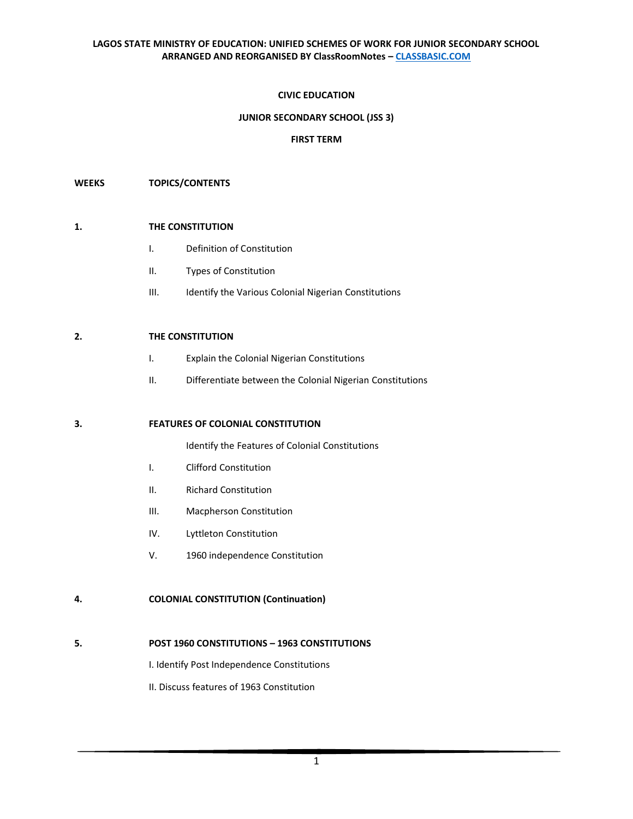# **CIVIC EDUCATION**

## **JUNIOR SECONDARY SCHOOL (JSS 3)**

#### **FIRST TERM**

#### **WEEKS TOPICS/CONTENTS**

#### **1. THE CONSTITUTION**

- I. Definition of Constitution
- II. Types of Constitution
- III. Identify the Various Colonial Nigerian Constitutions

#### **2. THE CONSTITUTION**

- I. Explain the Colonial Nigerian Constitutions
- II. Differentiate between the Colonial Nigerian Constitutions

#### **3. FEATURES OF COLONIAL CONSTITUTION**

Identify the Features of Colonial Constitutions

- I. Clifford Constitution
- II. Richard Constitution
- III. Macpherson Constitution
- IV. Lyttleton Constitution
- V. 1960 independence Constitution

### **4. COLONIAL CONSTITUTION (Continuation)**

# **5. POST 1960 CONSTITUTIONS – 1963 CONSTITUTIONS**

I. Identify Post Independence Constitutions

II. Discuss features of 1963 Constitution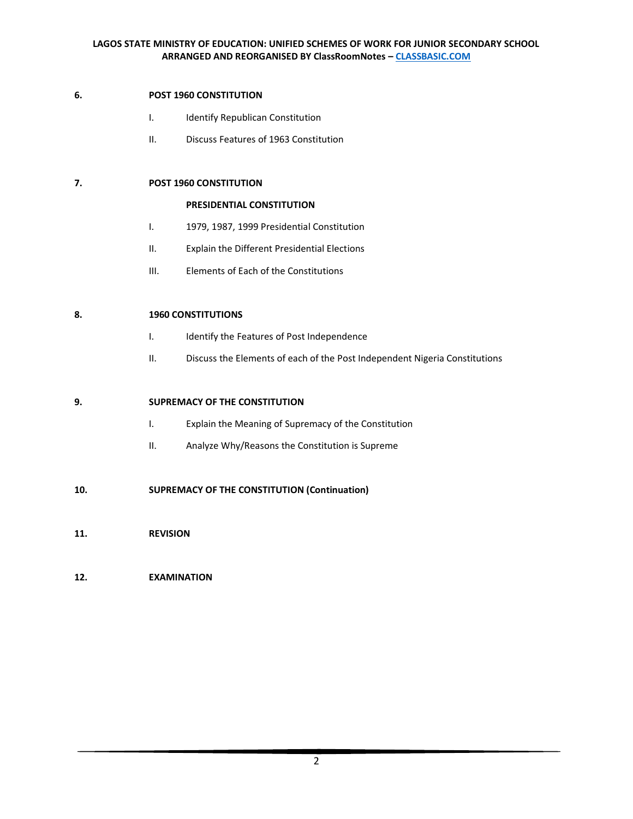# **6. POST 1960 CONSTITUTION**

- I. Identify Republican Constitution
- II. Discuss Features of 1963 Constitution

# **7. POST 1960 CONSTITUTION**

#### **PRESIDENTIAL CONSTITUTION**

- I. 1979, 1987, 1999 Presidential Constitution
- II. Explain the Different Presidential Elections
- III. Elements of Each of the Constitutions

# **8. 1960 CONSTITUTIONS**

- I. Identify the Features of Post Independence
- II. Discuss the Elements of each of the Post Independent Nigeria Constitutions

# **9. SUPREMACY OF THE CONSTITUTION**

- I. Explain the Meaning of Supremacy of the Constitution
- II. Analyze Why/Reasons the Constitution is Supreme

# **10. SUPREMACY OF THE CONSTITUTION (Continuation)**

**11. REVISION**

# **12. EXAMINATION**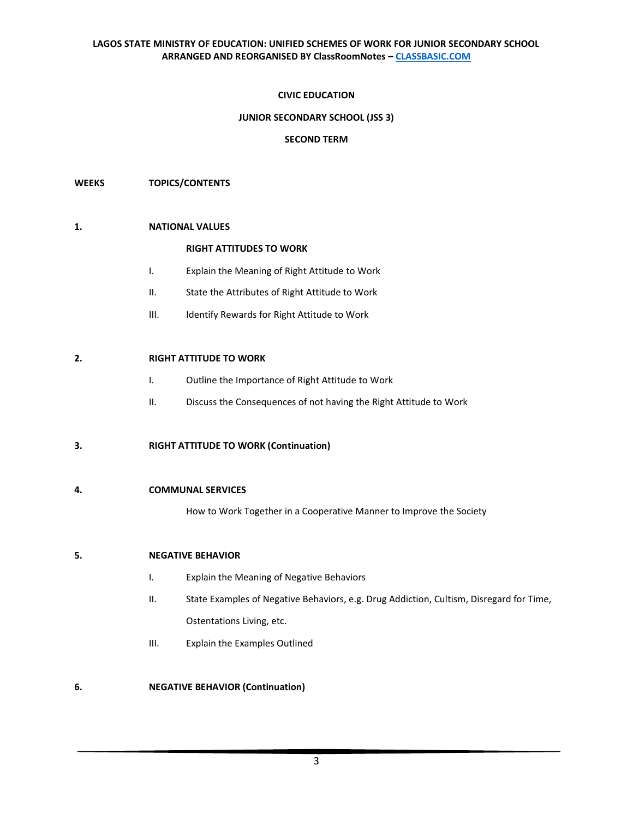# **CIVIC EDUCATION**

## **JUNIOR SECONDARY SCHOOL (JSS 3)**

## **SECOND TERM**

#### **WEEKS TOPICS/CONTENTS**

#### **1. NATIONAL VALUES**

#### **RIGHT ATTITUDES TO WORK**

- I. Explain the Meaning of Right Attitude to Work
- II. State the Attributes of Right Attitude to Work
- III. Identify Rewards for Right Attitude to Work

#### **2. RIGHT ATTITUDE TO WORK**

- I. Outline the Importance of Right Attitude to Work
- II. Discuss the Consequences of not having the Right Attitude to Work

### **3. RIGHT ATTITUDE TO WORK (Continuation)**

#### **4. COMMUNAL SERVICES**

How to Work Together in a Cooperative Manner to Improve the Society

#### **5. NEGATIVE BEHAVIOR**

- I. Explain the Meaning of Negative Behaviors
- II. State Examples of Negative Behaviors, e.g. Drug Addiction, Cultism, Disregard for Time, Ostentations Living, etc.
- III. Explain the Examples Outlined

#### **6. NEGATIVE BEHAVIOR (Continuation)**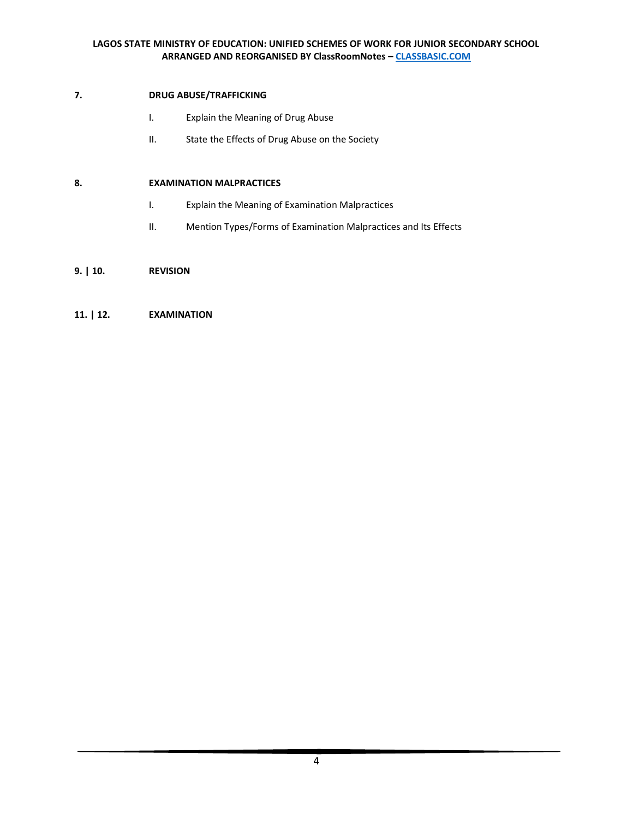# **7. DRUG ABUSE/TRAFFICKING**

- I. Explain the Meaning of Drug Abuse
- II. State the Effects of Drug Abuse on the Society

# **8. EXAMINATION MALPRACTICES**

- I. Explain the Meaning of Examination Malpractices
- II. Mention Types/Forms of Examination Malpractices and Its Effects

# **9. | 10. REVISION**

# **11. | 12. EXAMINATION**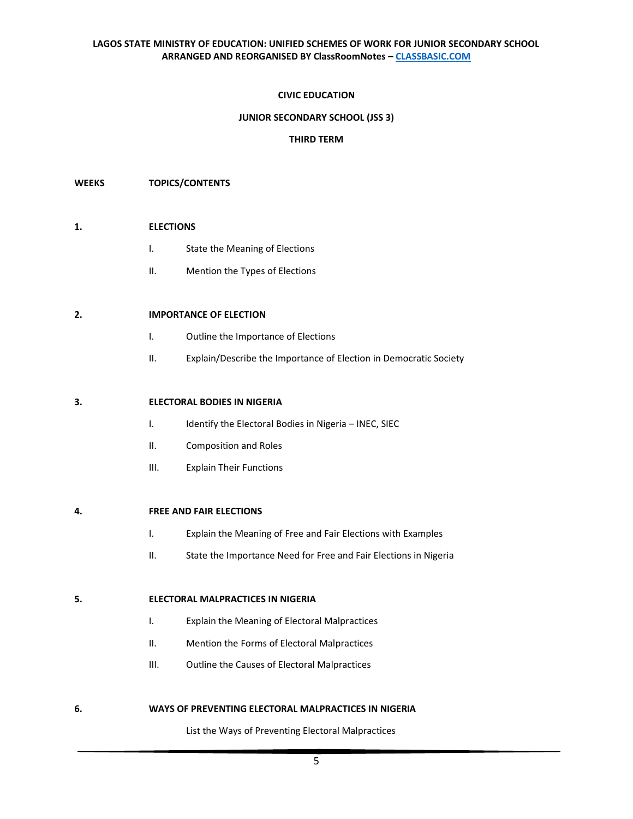### **CIVIC EDUCATION**

## **JUNIOR SECONDARY SCHOOL (JSS 3)**

#### **THIRD TERM**

#### **WEEKS TOPICS/CONTENTS**

#### **1. ELECTIONS**

- I. State the Meaning of Elections
- II. Mention the Types of Elections

#### **2. IMPORTANCE OF ELECTION**

- I. Outline the Importance of Elections
- II. Explain/Describe the Importance of Election in Democratic Society

#### **3. ELECTORAL BODIES IN NIGERIA**

- I. Identify the Electoral Bodies in Nigeria INEC, SIEC
- II. Composition and Roles
- III. Explain Their Functions

## **4. FREE AND FAIR ELECTIONS**

- I. Explain the Meaning of Free and Fair Elections with Examples
- II. State the Importance Need for Free and Fair Elections in Nigeria

#### **5. ELECTORAL MALPRACTICES IN NIGERIA**

- I. Explain the Meaning of Electoral Malpractices
- II. Mention the Forms of Electoral Malpractices
- III. Outline the Causes of Electoral Malpractices

#### **6. WAYS OF PREVENTING ELECTORAL MALPRACTICES IN NIGERIA**

List the Ways of Preventing Electoral Malpractices